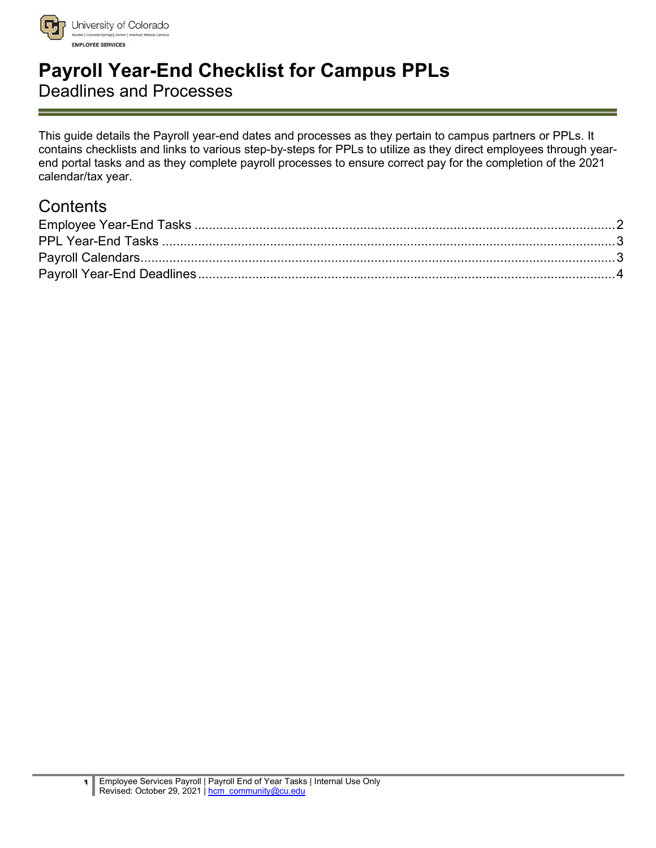

University of Colorado **EMPLOYEE SERVICES** 

# **Payroll Year-End Checklist for Campus PPLs**

Deadlines and Processes

This guide details the Payroll year-end dates and processes as they pertain to campus partners or PPLs. It contains checklists and links to various step-by-steps for PPLs to utilize as they direct employees through yearend portal tasks and as they complete payroll processes to ensure correct pay for the completion of the 2021 calendar/tax year.

# **Contents**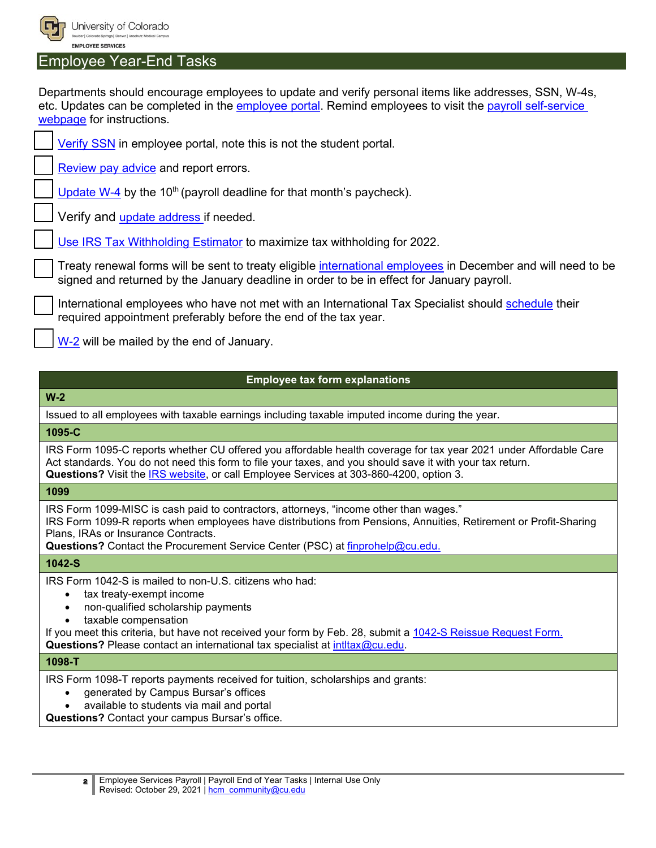

University of Colorado **EMPLOYEE SERVICES** 

#### <span id="page-1-0"></span>Employee Year-End Tasks

Departments should encourage employees to update and verify personal items like addresses, SSN, W-4s, etc. Updates can be completed in the [employee portal.](https://my.cu.edu/) Remind employees to visit the [payroll self-service](http://www.cu.edu/node/168742)  [webpage](http://www.cu.edu/node/168742) for instructions.

[Verify SSN](http://www.cu.edu/node/168743) in employee portal, note this is not the student portal.

[Review pay advice](https://www.cu.edu/employee-services/payroll/self-service/paychecks) and report errors.

[Update W-4](http://www.cu.edu/node/168747) by the 10<sup>th</sup> (payroll deadline for that month's paycheck).

Verify and [update address](http://www.cu.edu/node/168743) if needed.

[Use IRS Tax Withholding Estimator](https://www.irs.gov/individuals/tax-withholding-estimator) to maximize tax withholding for 2022.

Treaty renewal forms will be sent to treaty eligible [international employees](http://www.cu.edu/node/2185) in December and will need to be signed and returned by the January deadline in order to be in effect for January payroll.

International employees who have not met with an International Tax Specialist should [schedule](https://booknow.appointment-plus.com/43rspqeq/) their required appointment preferably before the end of the tax year.

[W-2](https://www.cu.edu/employee-services/payroll/self-service/w-2) will be mailed by the end of January.

#### **Employee tax form explanations**

**W-2**

Issued to all employees with taxable earnings including taxable imputed income during the year.

**1095-C**

IRS Form 1095-C reports whether CU offered you affordable health coverage for tax year 2021 under Affordable Care Act standards. You do not need this form to file your taxes, and you should save it with your tax return.

**Questions?** Visit the [IRS website,](https://www.irs.gov/forms-pubs/about-form-1095-c) or call Employee Services at 303-860-4200, option 3.

**1099**

IRS Form 1099-MISC is cash paid to contractors, attorneys, "income other than wages."

IRS Form 1099-R reports when employees have distributions from Pensions, Annuities, Retirement or Profit-Sharing Plans, IRAs or Insurance Contracts.

**Questions?** Contact the Procurement Service Center (PSC) at [finprohelp@cu.edu.](mailto:finprohelp@cu.edu)

#### **1042-S**

IRS Form 1042-S is mailed to non-U.S. citizens who had:

- tax treaty-exempt income
- non-qualified scholarship payments
- taxable compensation

If you meet this criteria, but have not received your form by Feb. 28, submit a [1042-S Reissue Request Form.](https://www.cu.edu/docs/w-21042-s-reissue-request-form) **Questions?** Please contact an international tax specialist at [intltax@cu.edu.](mailto:intltax@cu.edu)

#### **1098-T**

IRS Form 1098-T reports payments received for tuition, scholarships and grants:

- generated by Campus Bursar's offices
- available to students via mail and portal

**Questions?** Contact your campus Bursar's office.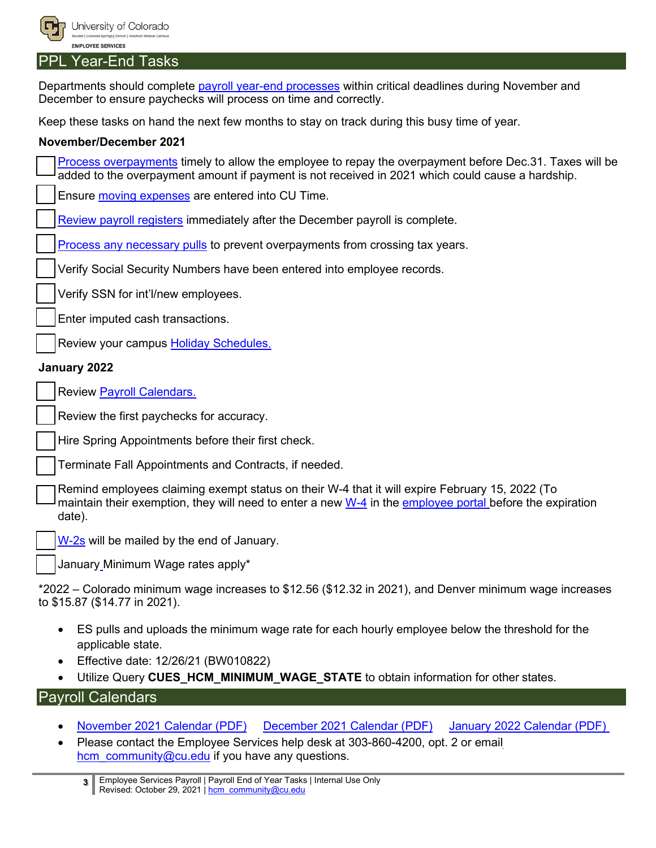

#### <span id="page-2-0"></span>PPL Year-End Tasks

Departments should complete [payroll year-end processes](https://www.cu.edu/blog/hcm-community/prepare-end-year-payroll-these-critical-tasks-and-deadlines) within critical deadlines during November and December to ensure paychecks will process on time and correctly.

Keep these tasks on hand the next few months to stay on track during this busy time of year.

#### **November/December 2021**

[Process overpayments](https://www.cu.edu/docs/completing-notice-overpayment-adjustment) timely to allow the employee to repay the overpayment before Dec.31. Taxes will be added to the overpayment amount if payment is not received in 2021 which could cause a hardship.

Ensure [moving expenses](https://www.cu.edu/employee-services/payroll/moving) are entered into CU Time.

[Review payroll registers](https://www.cu.edu/docs/2021-payroll-calendars) immediately after the December payroll is complete.

[Process any necessary pulls](https://www.cu.edu/hcm-community/correct-pay) to prevent overpayments from crossing tax years.

Verify Social Security Numbers have been entered into employee records.

Verify SSN for int'l/new employees.

Enter imputed cash transactions.

Review your campus [Holiday Schedules.](https://www.cu.edu/employee-services/holidays)

#### **January 2022**

Review [Payroll Calendars.](https://www.cu.edu/docs/2021-payroll-calendars)

Review the first paychecks for accuracy.

Hire Spring Appointments before their first check.

Terminate Fall Appointments and Contracts, if needed.

Remind employees claiming exempt status on their W-4 that it will expire February 15, 2022 (To maintain their exemption, they will need to enter a new [W-4](https://www.cu.edu/employee-services/payroll/self-service/w-4) in the [employee portal](https://my.cu.edu/) before the expiration date).

[W-2s](https://www.cu.edu/employee-services/payroll/self-service/w-2) will be mailed by the end of January.

January Minimum Wage rates apply\*

\*2022 – Colorado minimum wage increases to \$12.56 (\$12.32 in 2021), and Denver minimum wage increases to \$15.87 (\$14.77 in 2021).

- ES pulls and uploads the minimum wage rate for each hourly employee below the threshold for the applicable state.
- Effective date: 12/26/21 (BW010822)
- Utilize Query CUES HCM MINIMUM WAGE STATE to obtain information for other states.

## <span id="page-2-1"></span>Payroll Calendars

- [November 2021 Calendar \(PDF\)](https://www.cu.edu/doc/payrollcalendar202111pdf) [December 2021 Calendar \(PDF\)](https://www.cu.edu/doc/payrollcalendar202112december2021ao061521pdf) [January 2022 Calendar \(PDF\)](https://www.cu.edu/doc/payrollcalendar202201pdf-2)
- Please contact the Employee Services help desk at 303-860-4200, opt. 2 or email hcm community@cu.edu if you have any questions.

**3** Employee Services Payroll | Payroll End of Year Tasks | Internal Use Only Revised: October 29, 2021 | [hcm\\_community@cu.edu](mailto:hcm_community@cu.edu)